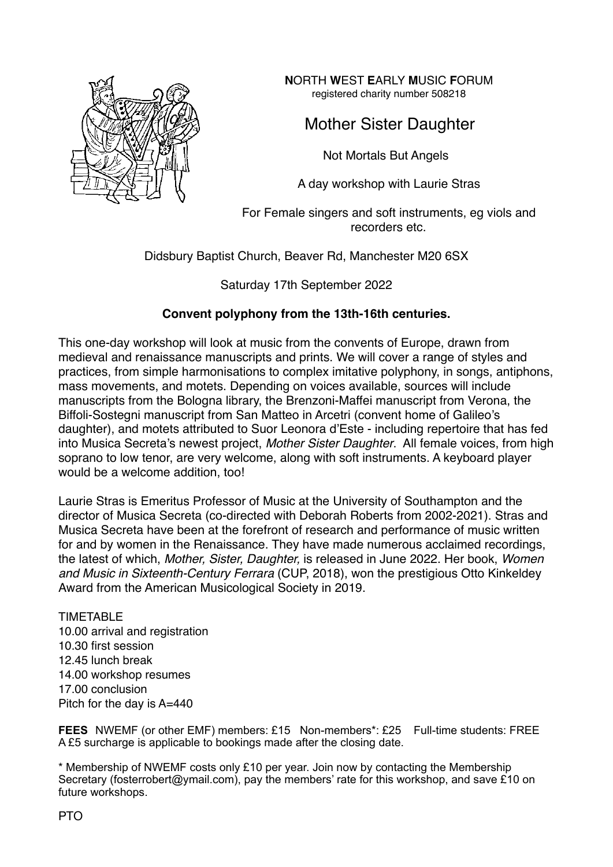

**N**ORTH **W**EST **E**ARLY **M**USIC **F**ORUM registered charity number 508218

## Mother Sister Daughter

Not Mortals But Angels

A day workshop with Laurie Stras

For Female singers and soft instruments, eg viols and recorders etc.

Didsbury Baptist Church, Beaver Rd, Manchester M20 6SX

Saturday 17th September 2022

## **Convent polyphony from the 13th-16th centuries.**

This one-day workshop will look at music from the convents of Europe, drawn from medieval and renaissance manuscripts and prints. We will cover a range of styles and practices, from simple harmonisations to complex imitative polyphony, in songs, antiphons, mass movements, and motets. Depending on voices available, sources will include manuscripts from the Bologna library, the Brenzoni-Maffei manuscript from Verona, the Biffoli-Sostegni manuscript from San Matteo in Arcetri (convent home of Galileo's daughter), and motets attributed to Suor Leonora d'Este - including repertoire that has fed into Musica Secreta's newest project, *Mother Sister Daughter*. All female voices, from high soprano to low tenor, are very welcome, along with soft instruments. A keyboard player would be a welcome addition, too!

Laurie Stras is Emeritus Professor of Music at the University of Southampton and the director of Musica Secreta (co-directed with Deborah Roberts from 2002-2021). Stras and Musica Secreta have been at the forefront of research and performance of music written for and by women in the Renaissance. They have made numerous acclaimed recordings, the latest of which, *Mother, Sister, Daughter,* is released in June 2022. Her book, *Women and Music in Sixteenth-Century Ferrara* (CUP, 2018), won the prestigious Otto Kinkeldey Award from the American Musicological Society in 2019.

## TIMETABLE 10.00 arrival and registration 10.30 first session 12.45 lunch break 14.00 workshop resumes 17.00 conclusion Pitch for the day is A=440

**FEES** NWEMF (or other EMF) members: £15 Non-members\*: £25 Full-time students: FREE A £5 surcharge is applicable to bookings made after the closing date.

\* Membership of NWEMF costs only £10 per year. Join now by contacting the Membership Secretary (fosterrobert@ymail.com), pay the members' rate for this workshop, and save £10 on future workshops.